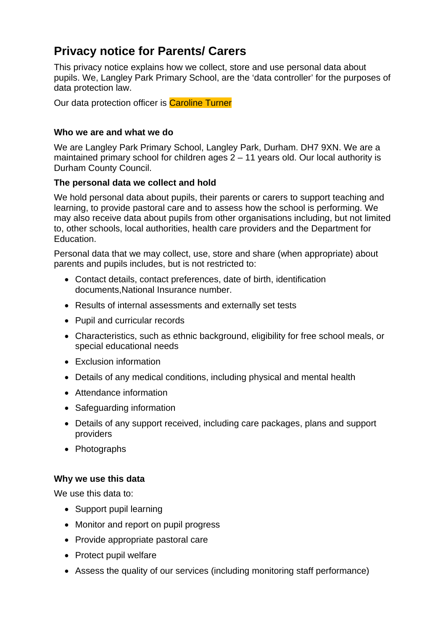# **Privacy notice for Parents/ Carers**

This privacy notice explains how we collect, store and use personal data about pupils. We, Langley Park Primary School, are the 'data controller' for the purposes of data protection law.

Our data protection officer is Caroline Turner

#### **Who we are and what we do**

We are Langley Park Primary School, Langley Park, Durham. DH7 9XN. We are a maintained primary school for children ages 2 – 11 years old. Our local authority is Durham County Council.

## **The personal data we collect and hold**

We hold personal data about pupils, their parents or carers to support teaching and learning, to provide pastoral care and to assess how the school is performing. We may also receive data about pupils from other organisations including, but not limited to, other schools, local authorities, health care providers and the Department for Education.

Personal data that we may collect, use, store and share (when appropriate) about parents and pupils includes, but is not restricted to:

- Contact details, contact preferences, date of birth, identification documents,National Insurance number.
- Results of internal assessments and externally set tests
- Pupil and curricular records
- Characteristics, such as ethnic background, eligibility for free school meals, or special educational needs
- Exclusion information
- Details of any medical conditions, including physical and mental health
- Attendance information
- Safeguarding information
- Details of any support received, including care packages, plans and support providers
- Photographs

# **Why we use this data**

We use this data to:

- Support pupil learning
- Monitor and report on pupil progress
- Provide appropriate pastoral care
- Protect pupil welfare
- Assess the quality of our services (including monitoring staff performance)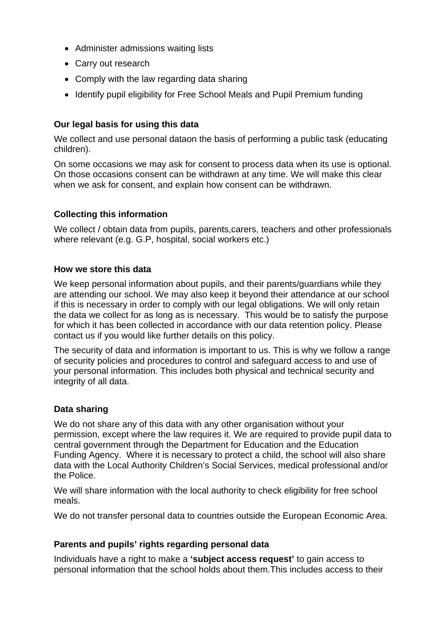- Administer admissions waiting lists
- Carry out research
- Comply with the law regarding data sharing
- Identify pupil eligibility for Free School Meals and Pupil Premium funding

## **Our legal basis for using this data**

We collect and use personal dataon the basis of performing a public task (educating children).

On some occasions we may ask for consent to process data when its use is optional. On those occasions consent can be withdrawn at any time. We will make this clear when we ask for consent, and explain how consent can be withdrawn.

## **Collecting this information**

We collect / obtain data from pupils, parents, carers, teachers and other professionals where relevant (e.g. G.P, hospital, social workers etc.)

#### **How we store this data**

We keep personal information about pupils, and their parents/guardians while they are attending our school. We may also keep it beyond their attendance at our school if this is necessary in order to comply with our legal obligations. We will only retain the data we collect for as long as is necessary. This would be to satisfy the purpose for which it has been collected in accordance with our data retention policy. Please contact us if you would like further details on this policy.

The security of data and information is important to us. This is why we follow a range of security policies and procedures to control and safeguard access to and use of your personal information. This includes both physical and technical security and integrity of all data.

#### **Data sharing**

We do not share any of this data with any other organisation without your permission, except where the law requires it. We are required to provide pupil data to central government through the Department for Education and the Education Funding Agency. Where it is necessary to protect a child, the school will also share data with the Local Authority Children's Social Services, medical professional and/or the Police.

We will share information with the local authority to check eligibility for free school meals.

We do not transfer personal data to countries outside the European Economic Area.

#### **Parents and pupils' rights regarding personal data**

Individuals have a right to make a **'subject access request'** to gain access to personal information that the school holds about them.This includes access to their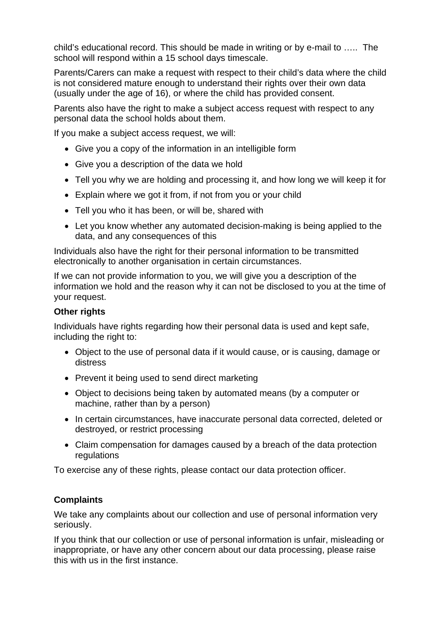child's educational record. This should be made in writing or by e-mail to ….. The school will respond within a 15 school days timescale.

Parents/Carers can make a request with respect to their child's data where the child is not considered mature enough to understand their rights over their own data (usually under the age of 16), or where the child has provided consent.

Parents also have the right to make a subject access request with respect to any personal data the school holds about them.

If you make a subject access request, we will:

- Give you a copy of the information in an intelligible form
- Give you a description of the data we hold
- Tell you why we are holding and processing it, and how long we will keep it for
- Explain where we got it from, if not from you or your child
- Tell you who it has been, or will be, shared with
- Let you know whether any automated decision-making is being applied to the data, and any consequences of this

Individuals also have the right for their personal information to be transmitted electronically to another organisation in certain circumstances.

If we can not provide information to you, we will give you a description of the information we hold and the reason why it can not be disclosed to you at the time of your request.

# **Other rights**

Individuals have rights regarding how their personal data is used and kept safe, including the right to:

- Object to the use of personal data if it would cause, or is causing, damage or distress
- Prevent it being used to send direct marketing
- Object to decisions being taken by automated means (by a computer or machine, rather than by a person)
- In certain circumstances, have inaccurate personal data corrected, deleted or destroyed, or restrict processing
- Claim compensation for damages caused by a breach of the data protection regulations

To exercise any of these rights, please contact our data protection officer.

# **Complaints**

We take any complaints about our collection and use of personal information very seriously.

If you think that our collection or use of personal information is unfair, misleading or inappropriate, or have any other concern about our data processing, please raise this with us in the first instance.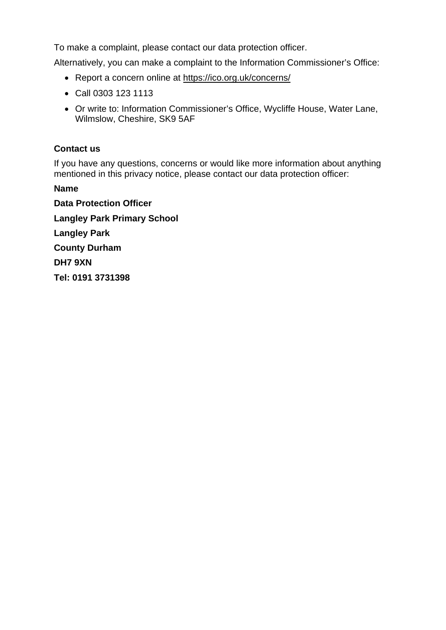To make a complaint, please contact our data protection officer.

Alternatively, you can make a complaint to the Information Commissioner's Office:

- Report a concern online at https://ico.org.uk/concerns/
- Call 0303 123 1113
- Or write to: Information Commissioner's Office, Wycliffe House, Water Lane, Wilmslow, Cheshire, SK9 5AF

# **Contact us**

If you have any questions, concerns or would like more information about anything mentioned in this privacy notice, please contact our data protection officer:

**Name** 

**Data Protection Officer Langley Park Primary School Langley Park County Durham DH7 9XN Tel: 0191 3731398**